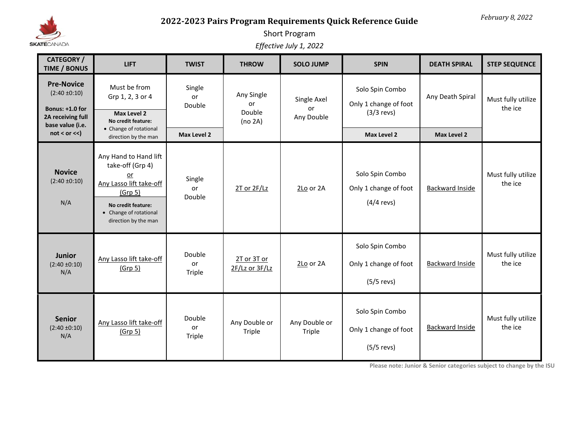

## **2022-2023 Pairs Program Requirements Quick Reference Guide**

## Short Program

*Effective July 1, 2022*

| <b>CATEGORY /</b><br><b>TIME / BONUS</b>                                                           | <b>LIFT</b>                                                                                                                                                   | <b>TWIST</b>                  | <b>THROW</b>                          | <b>SOLO JUMP</b>                | <b>SPIN</b>                                              | <b>DEATH SPIRAL</b>    | <b>STEP SEQUENCE</b>          |
|----------------------------------------------------------------------------------------------------|---------------------------------------------------------------------------------------------------------------------------------------------------------------|-------------------------------|---------------------------------------|---------------------------------|----------------------------------------------------------|------------------------|-------------------------------|
| <b>Pre-Novice</b><br>$(2:40 \pm 0:10)$<br>Bonus: +1.0 for<br>2A receiving full<br>base value (i.e. | Must be from<br>Grp 1, 2, 3 or 4<br>Max Level 2<br>No credit feature:                                                                                         | Single<br>or<br>Double        | Any Single<br>or<br>Double<br>(no 2A) | Single Axel<br>or<br>Any Double | Solo Spin Combo<br>Only 1 change of foot<br>$(3/3$ revs) | Any Death Spiral       | Must fully utilize<br>the ice |
| not < or <                                                                                         | • Change of rotational<br>direction by the man                                                                                                                | <b>Max Level 2</b>            |                                       |                                 | <b>Max Level 2</b>                                       | <b>Max Level 2</b>     |                               |
| <b>Novice</b><br>$(2:40 \pm 0:10)$<br>N/A                                                          | Any Hand to Hand lift<br>take-off (Grp 4)<br>or<br>Any Lasso lift take-off<br>(Grp 5)<br>No credit feature:<br>• Change of rotational<br>direction by the man | Single<br>or<br>Double        | $2T$ or $2F/Lz$                       | 2Lo or 2A                       | Solo Spin Combo<br>Only 1 change of foot<br>$(4/4$ revs) | <b>Backward Inside</b> | Must fully utilize<br>the ice |
| <b>Junior</b><br>$(2:40 \pm 0:10)$<br>N/A                                                          | Any Lasso lift take-off<br>(Grp <sub>5</sub> )                                                                                                                | Double<br>or<br>Triple        | 2T or 3T or<br>2F/Lz or 3F/Lz         | 2Lo or 2A                       | Solo Spin Combo<br>Only 1 change of foot<br>$(5/5$ revs) | Backward Inside        | Must fully utilize<br>the ice |
| <b>Senior</b><br>$(2:40 \pm 0:10)$<br>N/A                                                          | Any Lasso lift take-off<br>(Grp <sub>5</sub> )                                                                                                                | Double<br>or<br><b>Triple</b> | Any Double or<br>Triple               | Any Double or<br>Triple         | Solo Spin Combo<br>Only 1 change of foot<br>$(5/5$ revs) | Backward Inside        | Must fully utilize<br>the ice |

**Please note: Junior & Senior categories subject to change by the ISU**